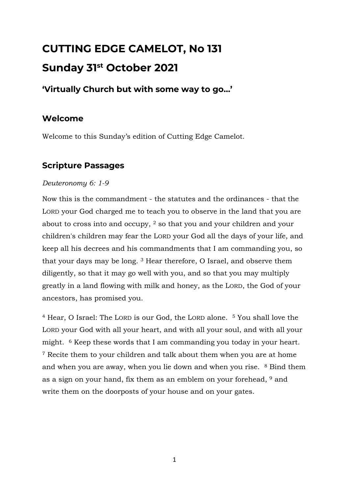# **CUTTING EDGE CAMELOT, No 131 Sunday 31st October 2021**

## **'Virtually Church but with some way to go…'**

## **Welcome**

Welcome to this Sunday's edition of Cutting Edge Camelot.

# **Scripture Passages**

#### *Deuteronomy 6: 1-9*

Now this is the commandment - the statutes and the ordinances - that the LORD your God charged me to teach you to observe in the land that you are about to cross into and occupy, <sup>2</sup> so that you and your children and your children's children may fear the LORD your God all the days of your life, and keep all his decrees and his commandments that I am commanding you, so that your days may be long. <sup>3</sup> Hear therefore, O Israel, and observe them diligently, so that it may go well with you, and so that you may multiply greatly in a land flowing with milk and honey, as the LORD, the God of your ancestors, has promised you.

<sup>4</sup> Hear, O Israel: The LORD is our God, the LORD alone. <sup>5</sup> You shall love the LORD your God with all your heart, and with all your soul, and with all your might. <sup>6</sup> Keep these words that I am commanding you today in your heart. <sup>7</sup> Recite them to your children and talk about them when you are at home and when you are away, when you lie down and when you rise. <sup>8</sup> Bind them as a sign on your hand, fix them as an emblem on your forehead, <sup>9</sup> and write them on the doorposts of your house and on your gates.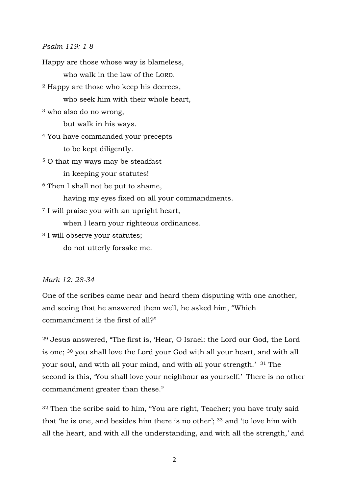#### *Psalm 119: 1-8*

Happy are those whose way is blameless, who walk in the law of the LORD. <sup>2</sup> Happy are those who keep his decrees, who seek him with their whole heart, <sup>3</sup> who also do no wrong, but walk in his ways. <sup>4</sup> You have commanded your precepts to be kept diligently. <sup>5</sup> O that my ways may be steadfast in keeping your statutes! <sup>6</sup> Then I shall not be put to shame, having my eyes fixed on all your commandments. <sup>7</sup> I will praise you with an upright heart, when I learn your righteous ordinances. <sup>8</sup> I will observe your statutes; do not utterly forsake me.

#### *Mark 12: 28-34*

One of the scribes came near and heard them disputing with one another, and seeing that he answered them well, he asked him, "Which commandment is the first of all?"

<sup>29</sup> Jesus answered, "The first is, 'Hear, O Israel: the Lord our God, the Lord is one; <sup>30</sup> you shall love the Lord your God with all your heart, and with all your soul, and with all your mind, and with all your strength.' <sup>31</sup> The second is this, 'You shall love your neighbour as yourself.' There is no other commandment greater than these."

<sup>32</sup> Then the scribe said to him, "You are right, Teacher; you have truly said that 'he is one, and besides him there is no other'; <sup>33</sup> and 'to love him with all the heart, and with all the understanding, and with all the strength,' and

2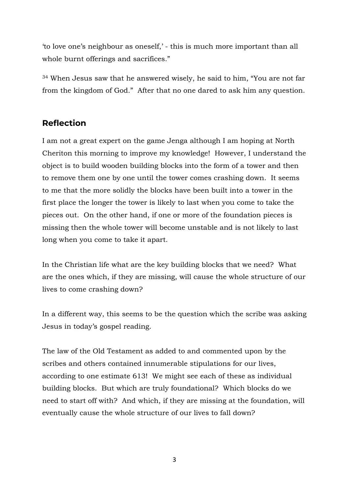'to love one's neighbour as oneself,' - this is much more important than all whole burnt offerings and sacrifices."

<sup>34</sup> When Jesus saw that he answered wisely, he said to him, "You are not far from the kingdom of God." After that no one dared to ask him any question.

#### **Reflection**

I am not a great expert on the game Jenga although I am hoping at North Cheriton this morning to improve my knowledge! However, I understand the object is to build wooden building blocks into the form of a tower and then to remove them one by one until the tower comes crashing down. It seems to me that the more solidly the blocks have been built into a tower in the first place the longer the tower is likely to last when you come to take the pieces out. On the other hand, if one or more of the foundation pieces is missing then the whole tower will become unstable and is not likely to last long when you come to take it apart.

In the Christian life what are the key building blocks that we need? What are the ones which, if they are missing, will cause the whole structure of our lives to come crashing down?

In a different way, this seems to be the question which the scribe was asking Jesus in today's gospel reading.

The law of the Old Testament as added to and commented upon by the scribes and others contained innumerable stipulations for our lives, according to one estimate 613! We might see each of these as individual building blocks. But which are truly foundational? Which blocks do we need to start off with? And which, if they are missing at the foundation, will eventually cause the whole structure of our lives to fall down?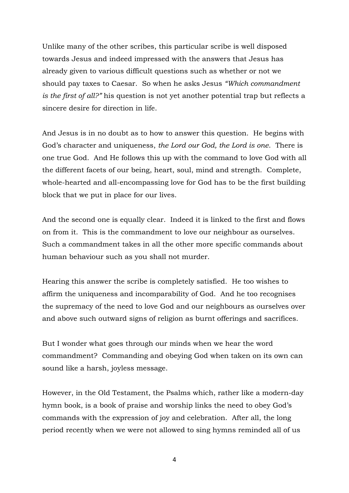Unlike many of the other scribes, this particular scribe is well disposed towards Jesus and indeed impressed with the answers that Jesus has already given to various difficult questions such as whether or not we should pay taxes to Caesar. So when he asks Jesus *"Which commandment is the first of all?"* his question is not yet another potential trap but reflects a sincere desire for direction in life.

And Jesus is in no doubt as to how to answer this question. He begins with God's character and uniqueness, *the Lord our God, the Lord is one*. There is one true God. And He follows this up with the command to love God with all the different facets of our being, heart, soul, mind and strength. Complete, whole-hearted and all-encompassing love for God has to be the first building block that we put in place for our lives.

And the second one is equally clear. Indeed it is linked to the first and flows on from it. This is the commandment to love our neighbour as ourselves. Such a commandment takes in all the other more specific commands about human behaviour such as you shall not murder.

Hearing this answer the scribe is completely satisfied. He too wishes to affirm the uniqueness and incomparability of God. And he too recognises the supremacy of the need to love God and our neighbours as ourselves over and above such outward signs of religion as burnt offerings and sacrifices.

But I wonder what goes through our minds when we hear the word commandment? Commanding and obeying God when taken on its own can sound like a harsh, joyless message.

However, in the Old Testament, the Psalms which, rather like a modern-day hymn book, is a book of praise and worship links the need to obey God's commands with the expression of joy and celebration. After all, the long period recently when we were not allowed to sing hymns reminded all of us

4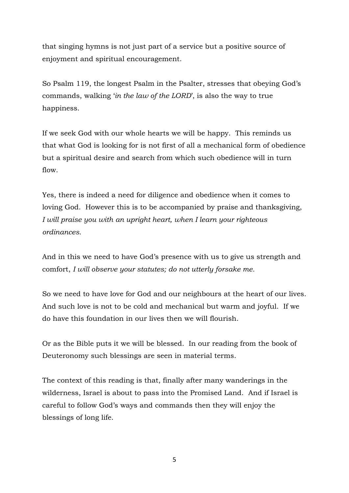that singing hymns is not just part of a service but a positive source of enjoyment and spiritual encouragement.

So Psalm 119, the longest Psalm in the Psalter, stresses that obeying God's commands, walking '*in the law of the LORD*', is also the way to true happiness.

If we seek God with our whole hearts we will be happy. This reminds us that what God is looking for is not first of all a mechanical form of obedience but a spiritual desire and search from which such obedience will in turn flow.

Yes, there is indeed a need for diligence and obedience when it comes to loving God. However this is to be accompanied by praise and thanksgiving, *I will praise you with an upright heart, when I learn your righteous ordinances.*

And in this we need to have God's presence with us to give us strength and comfort, *I will observe your statutes; do not utterly forsake me.* 

So we need to have love for God and our neighbours at the heart of our lives. And such love is not to be cold and mechanical but warm and joyful. If we do have this foundation in our lives then we will flourish.

Or as the Bible puts it we will be blessed. In our reading from the book of Deuteronomy such blessings are seen in material terms.

The context of this reading is that, finally after many wanderings in the wilderness, Israel is about to pass into the Promised Land. And if Israel is careful to follow God's ways and commands then they will enjoy the blessings of long life.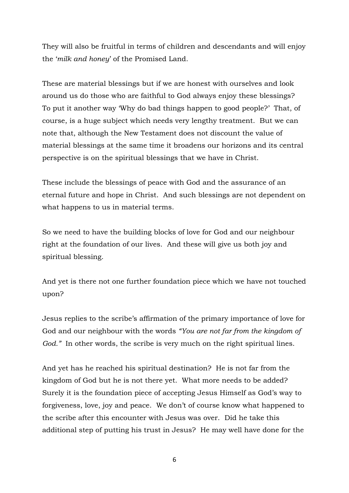They will also be fruitful in terms of children and descendants and will enjoy the '*milk and honey*' of the Promised Land.

These are material blessings but if we are honest with ourselves and look around us do those who are faithful to God always enjoy these blessings? To put it another way 'Why do bad things happen to good people?' That, of course, is a huge subject which needs very lengthy treatment. But we can note that, although the New Testament does not discount the value of material blessings at the same time it broadens our horizons and its central perspective is on the spiritual blessings that we have in Christ.

These include the blessings of peace with God and the assurance of an eternal future and hope in Christ. And such blessings are not dependent on what happens to us in material terms.

So we need to have the building blocks of love for God and our neighbour right at the foundation of our lives. And these will give us both joy and spiritual blessing.

And yet is there not one further foundation piece which we have not touched upon?

Jesus replies to the scribe's affirmation of the primary importance of love for God and our neighbour with the words *"You are not far from the kingdom of God.*" In other words, the scribe is very much on the right spiritual lines.

And yet has he reached his spiritual destination? He is not far from the kingdom of God but he is not there yet. What more needs to be added? Surely it is the foundation piece of accepting Jesus Himself as God's way to forgiveness, love, joy and peace. We don't of course know what happened to the scribe after this encounter with Jesus was over. Did he take this additional step of putting his trust in Jesus? He may well have done for the

6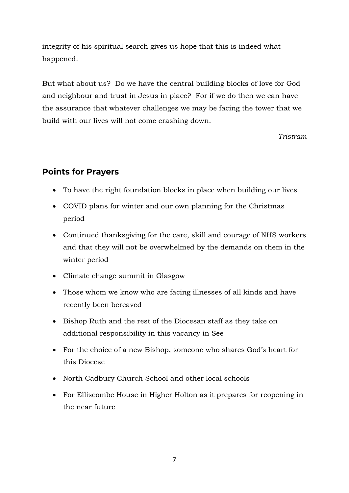integrity of his spiritual search gives us hope that this is indeed what happened.

But what about us? Do we have the central building blocks of love for God and neighbour and trust in Jesus in place? For if we do then we can have the assurance that whatever challenges we may be facing the tower that we build with our lives will not come crashing down.

*Tristram*

### **Points for Prayers**

- To have the right foundation blocks in place when building our lives
- COVID plans for winter and our own planning for the Christmas period
- Continued thanksgiving for the care, skill and courage of NHS workers and that they will not be overwhelmed by the demands on them in the winter period
- Climate change summit in Glasgow
- Those whom we know who are facing illnesses of all kinds and have recently been bereaved
- Bishop Ruth and the rest of the Diocesan staff as they take on additional responsibility in this vacancy in See
- For the choice of a new Bishop, someone who shares God's heart for this Diocese
- North Cadbury Church School and other local schools
- For Elliscombe House in Higher Holton as it prepares for reopening in the near future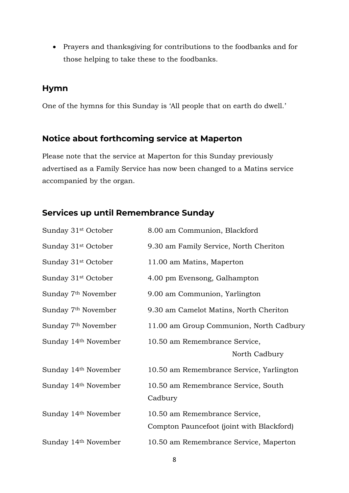• Prayers and thanksgiving for contributions to the foodbanks and for those helping to take these to the foodbanks.

#### **Hymn**

One of the hymns for this Sunday is 'All people that on earth do dwell.'

#### **Notice about forthcoming service at Maperton**

Please note that the service at Maperton for this Sunday previously advertised as a Family Service has now been changed to a Matins service accompanied by the organ.

### **Services up until Remembrance Sunday**

| Sunday 31 <sup>st</sup> October | 8.00 am Communion, Blackford                                               |
|---------------------------------|----------------------------------------------------------------------------|
| Sunday 31 <sup>st</sup> October | 9.30 am Family Service, North Cheriton                                     |
| Sunday 31 <sup>st</sup> October | 11.00 am Matins, Maperton                                                  |
| Sunday 31 <sup>st</sup> October | 4.00 pm Evensong, Galhampton                                               |
| Sunday 7 <sup>th</sup> November | 9.00 am Communion, Yarlington                                              |
| Sunday 7 <sup>th</sup> November | 9.30 am Camelot Matins, North Cheriton                                     |
| Sunday 7 <sup>th</sup> November | 11.00 am Group Communion, North Cadbury                                    |
| Sunday 14th November            | 10.50 am Remembrance Service,<br>North Cadbury                             |
| Sunday 14th November            | 10.50 am Remembrance Service, Yarlington                                   |
| Sunday 14th November            | 10.50 am Remembrance Service, South<br>Cadbury                             |
| Sunday 14th November            | 10.50 am Remembrance Service,<br>Compton Pauncefoot (joint with Blackford) |
| Sunday 14th November            | 10.50 am Remembrance Service, Maperton                                     |